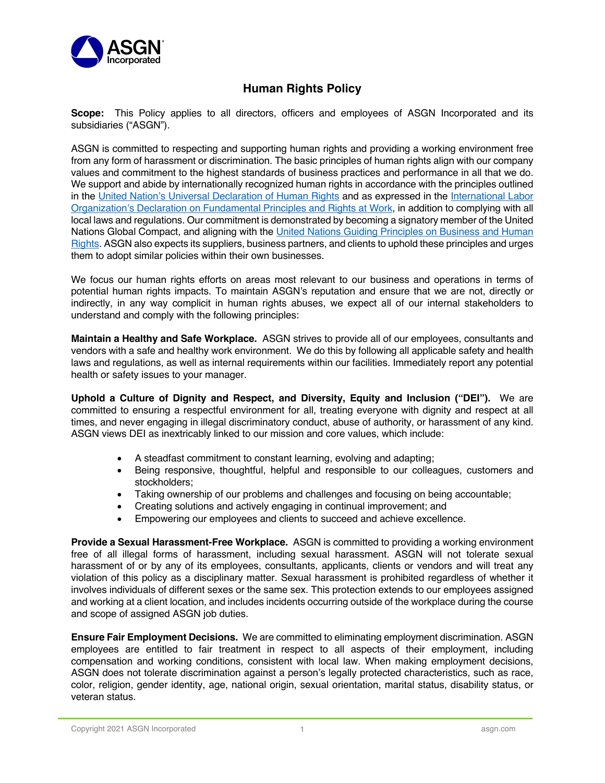

## **Human Rights Policy**

**Scope:** This Policy applies to all directors, officers and employees of ASGN Incorporated and its subsidiaries ("ASGN").

ASGN is committed to respecting and supporting human rights and providing a working environment free from any form of harassment or discrimination. The basic principles of human rights align with our company values and commitment to the highest standards of business practices and performance in all that we do. We support and abide by internationally recognized human rights in accordance with the principles outlined in the United Nation's Universal Declaration of Human Rights and as expressed in the International Labor Organization's Declaration on Fundamental Principles and Rights at Work, in addition to complying with all local laws and regulations. Our commitment is demonstrated by becoming a signatory member of the United Nations Global Compact, and aligning with the United Nations Guiding Principles on Business and Human Rights. ASGN also expects its suppliers, business partners, and clients to uphold these principles and urges them to adopt similar policies within their own businesses.

We focus our human rights efforts on areas most relevant to our business and operations in terms of potential human rights impacts. To maintain ASGN's reputation and ensure that we are not, directly or indirectly, in any way complicit in human rights abuses, we expect all of our internal stakeholders to understand and comply with the following principles:

**Maintain a Healthy and Safe Workplace.** ASGN strives to provide all of our employees, consultants and vendors with a safe and healthy work environment. We do this by following all applicable safety and health laws and regulations, as well as internal requirements within our facilities. Immediately report any potential health or safety issues to your manager.

**Uphold a Culture of Dignity and Respect, and Diversity, Equity and Inclusion ("DEI").** We are committed to ensuring a respectful environment for all, treating everyone with dignity and respect at all times, and never engaging in illegal discriminatory conduct, abuse of authority, or harassment of any kind. ASGN views DEI as inextricably linked to our mission and core values, which include:

- A steadfast commitment to constant learning, evolving and adapting;
- Being responsive, thoughtful, helpful and responsible to our colleagues, customers and stockholders;
- Taking ownership of our problems and challenges and focusing on being accountable;
- Creating solutions and actively engaging in continual improvement; and
- Empowering our employees and clients to succeed and achieve excellence.

**Provide a Sexual Harassment-Free Workplace.** ASGN is committed to providing a working environment free of all illegal forms of harassment, including sexual harassment. ASGN will not tolerate sexual harassment of or by any of its employees, consultants, applicants, clients or vendors and will treat any violation of this policy as a disciplinary matter. Sexual harassment is prohibited regardless of whether it involves individuals of different sexes or the same sex. This protection extends to our employees assigned and working at a client location, and includes incidents occurring outside of the workplace during the course and scope of assigned ASGN job duties.

**Ensure Fair Employment Decisions.** We are committed to eliminating employment discrimination. ASGN employees are entitled to fair treatment in respect to all aspects of their employment, including compensation and working conditions, consistent with local law. When making employment decisions, ASGN does not tolerate discrimination against a person's legally protected characteristics, such as race, color, religion, gender identity, age, national origin, sexual orientation, marital status, disability status, or veteran status.